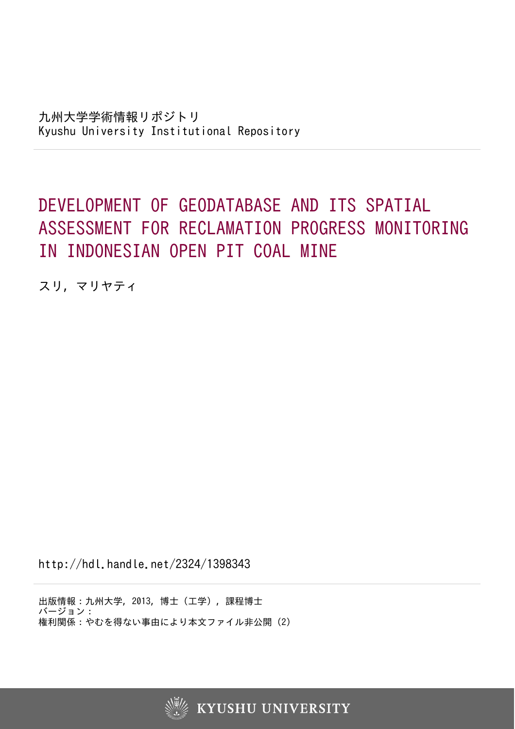## DEVELOPMENT OF GEODATABASE AND ITS SPATIAL ASSESSMENT FOR RECLAMATION PROGRESS MONITORING IN INDONESIAN OPEN PIT COAL MINE

スリ, マリヤティ

http://hdl.handle.net/2324/1398343

出版情報:九州大学, 2013, 博士(工学), 課程博士 バージョン: 権利関係:やむを得ない事由により本文ファイル非公開 (2)

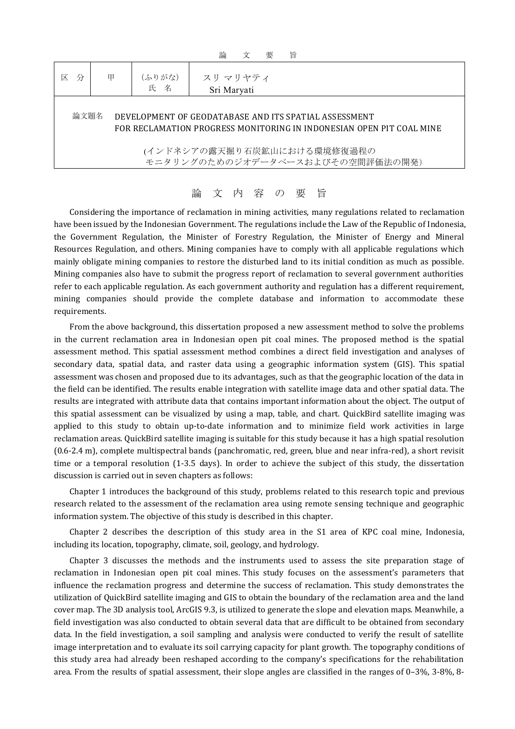| 論<br>旨<br>要<br>₩                                                                                                                      |   |               |                         |
|---------------------------------------------------------------------------------------------------------------------------------------|---|---------------|-------------------------|
| ⋉<br>分                                                                                                                                | 甲 | (ふりがな)<br>氏 名 | スリ マリヤティ<br>Sri Maryati |
| 論文題名<br>DEVELOPMENT OF GEODATABASE AND ITS SPATIAL ASSESSMENT<br>FOR RECLAMATION PROGRESS MONITORING IN INDONESIAN OPEN PIT COAL MINE |   |               |                         |
| (インドネシアの露天掘り石炭鉱山における環境修復過程の<br>モニタリングのためのジオデータベースおよびその空間評価法の開発)                                                                       |   |               |                         |

## 論 文 内 容 の 要 旨

Considering the importance of reclamation in mining activities, many regulations related to reclamation have been issued by the Indonesian Government. The regulations include the Law of the Republic of Indonesia, the Government Regulation, the Minister of Forestry Regulation, the Minister of Energy and Mineral Resources Regulation, and others. Mining companies have to comply with all applicable regulations which mainly obligate mining companies to restore the disturbed land to its initial condition as much as possible. Mining companies also have to submit the progress report of reclamation to several government authorities refer to each applicable regulation. As each government authority and regulation has a different requirement, mining companies should provide the complete database and information to accommodate these requirements.

From the above background, this dissertation proposed a new assessment method to solve the problems in the current reclamation area in Indonesian open pit coal mines. The proposed method is the spatial assessment method. This spatial assessment method combines a direct field investigation and analyses of secondary data, spatial data, and raster data using a geographic information system (GIS). This spatial assessment was chosen and proposed due to its advantages, such as that the geographic location of the data in the field can be identified. The results enable integration with satellite image data and other spatial data. The results are integrated with attribute data that contains important information about the object. The output of this spatial assessment can be visualized by using a map, table, and chart. QuickBird satellite imaging was applied to this study to obtain up-to-date information and to minimize field work activities in large reclamation areas. QuickBird satellite imaging is suitable for this study because it has a high spatial resolution (0.6-2.4 m), complete multispectral bands (panchromatic, red, green, blue and near infra-red), a short revisit time or a temporal resolution (1-3.5 days). In order to achieve the subject of this study, the dissertation discussion is carried out in seven chapters as follows:

Chapter 1 introduces the background of this study, problems related to this research topic and previous research related to the assessment of the reclamation area using remote sensing technique and geographic information system. The objective of this study is described in this chapter.

Chapter 2 describes the description of this study area in the S1 area of KPC coal mine, Indonesia, including its location, topography, climate, soil, geology, and hydrology.

Chapter 3 discusses the methods and the instruments used to assess the site preparation stage of reclamation in Indonesian open pit coal mines. This study focuses on the assessment's parameters that influence the reclamation progress and determine the success of reclamation. This study demonstrates the utilization of QuickBird satellite imaging and GIS to obtain the boundary of the reclamation area and the land cover map. The 3D analysis tool, ArcGIS 9.3, is utilized to generate the slope and elevation maps. Meanwhile, a field investigation was also conducted to obtain several data that are difficult to be obtained from secondary data. In the field investigation, a soil sampling and analysis were conducted to verify the result of satellite image interpretation and to evaluate its soil carrying capacity for plant growth. The topography conditions of this study area had already been reshaped according to the company's specifications for the rehabilitation area. From the results of spatial assessment, their slope angles are classified in the ranges of 0–3%, 3-8%, 8-